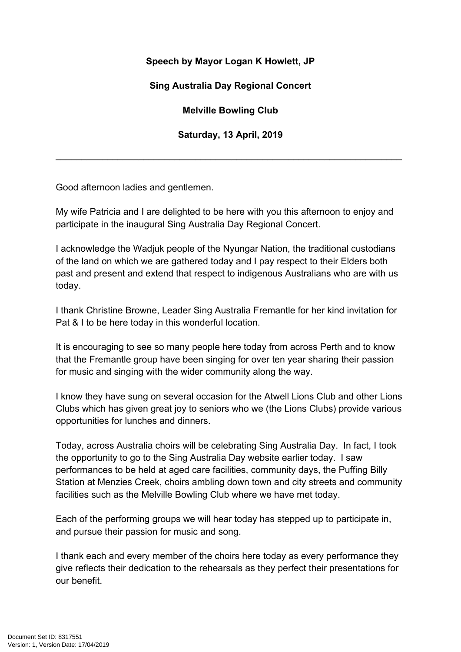## **Speech by Mayor Logan K Howlett, JP**

## **Sing Australia Day Regional Concert**

**Melville Bowling Club**

**Saturday, 13 April, 2019**

\_\_\_\_\_\_\_\_\_\_\_\_\_\_\_\_\_\_\_\_\_\_\_\_\_\_\_\_\_\_\_\_\_\_\_\_\_\_\_\_\_\_\_\_\_\_\_\_\_\_\_\_\_\_\_\_\_\_\_\_\_\_\_\_\_\_\_

Good afternoon ladies and gentlemen.

My wife Patricia and I are delighted to be here with you this afternoon to enjoy and participate in the inaugural Sing Australia Day Regional Concert.

I acknowledge the Wadjuk people of the Nyungar Nation, the traditional custodians of the land on which we are gathered today and I pay respect to their Elders both past and present and extend that respect to indigenous Australians who are with us today.

I thank Christine Browne, Leader Sing Australia Fremantle for her kind invitation for Pat & I to be here today in this wonderful location.

It is encouraging to see so many people here today from across Perth and to know that the Fremantle group have been singing for over ten year sharing their passion for music and singing with the wider community along the way.

I know they have sung on several occasion for the Atwell Lions Club and other Lions Clubs which has given great joy to seniors who we (the Lions Clubs) provide various opportunities for lunches and dinners.

Today, across Australia choirs will be celebrating Sing Australia Day. In fact, I took the opportunity to go to the Sing Australia Day website earlier today. I saw performances to be held at aged care facilities, community days, the Puffing Billy Station at Menzies Creek, choirs ambling down town and city streets and community facilities such as the Melville Bowling Club where we have met today.

Each of the performing groups we will hear today has stepped up to participate in, and pursue their passion for music and song.

I thank each and every member of the choirs here today as every performance they give reflects their dedication to the rehearsals as they perfect their presentations for our benefit.